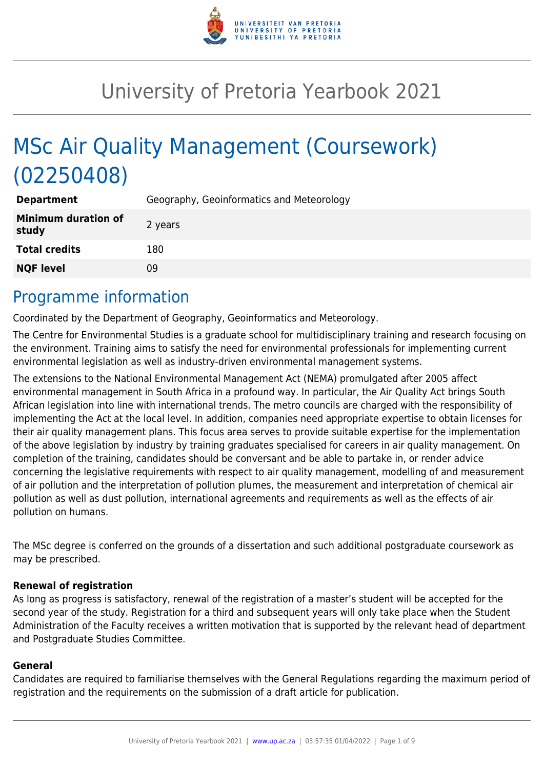

# University of Pretoria Yearbook 2021

# MSc Air Quality Management (Coursework) (02250408)

| <b>Department</b>                   | Geography, Geoinformatics and Meteorology |
|-------------------------------------|-------------------------------------------|
| <b>Minimum duration of</b><br>study | 2 years                                   |
| <b>Total credits</b>                | 180                                       |
| <b>NQF level</b>                    | 09                                        |

# Programme information

Coordinated by the Department of Geography, Geoinformatics and Meteorology.

The Centre for Environmental Studies is a graduate school for multidisciplinary training and research focusing on the environment. Training aims to satisfy the need for environmental professionals for implementing current environmental legislation as well as industry-driven environmental management systems.

The extensions to the National Environmental Management Act (NEMA) promulgated after 2005 affect environmental management in South Africa in a profound way. In particular, the Air Quality Act brings South African legislation into line with international trends. The metro councils are charged with the responsibility of implementing the Act at the local level. In addition, companies need appropriate expertise to obtain licenses for their air quality management plans. This focus area serves to provide suitable expertise for the implementation of the above legislation by industry by training graduates specialised for careers in air quality management. On completion of the training, candidates should be conversant and be able to partake in, or render advice concerning the legislative requirements with respect to air quality management, modelling of and measurement of air pollution and the interpretation of pollution plumes, the measurement and interpretation of chemical air pollution as well as dust pollution, international agreements and requirements as well as the effects of air pollution on humans.

The MSc degree is conferred on the grounds of a dissertation and such additional postgraduate coursework as may be prescribed.

### **Renewal of registration**

As long as progress is satisfactory, renewal of the registration of a master's student will be accepted for the second year of the study. Registration for a third and subsequent years will only take place when the Student Administration of the Faculty receives a written motivation that is supported by the relevant head of department and Postgraduate Studies Committee.

#### **General**

Candidates are required to familiarise themselves with the General Regulations regarding the maximum period of registration and the requirements on the submission of a draft article for publication.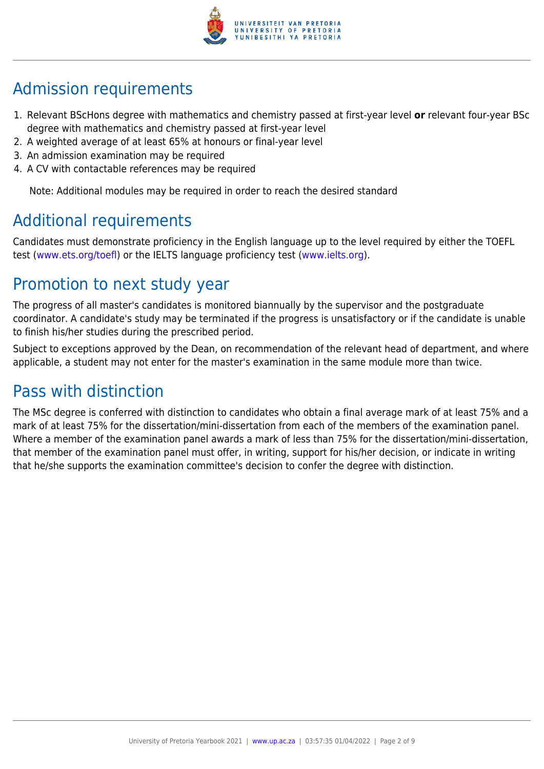

# Admission requirements

- 1. Relevant BScHons degree with mathematics and chemistry passed at first-year level **or** relevant four-year BSc degree with mathematics and chemistry passed at first-year level
- 2. A weighted average of at least 65% at honours or final-year level
- 3. An admission examination may be required
- 4. A CV with contactable references may be required

Note: Additional modules may be required in order to reach the desired standard

# Additional requirements

Candidates must demonstrate proficiency in the English language up to the level required by either the TOEFL test [\(www.ets.org/toefl\)](http://www.ets.org/toefl) or the IELTS language proficiency test ([www.ielts.org](http://www.ielts.org)).

# Promotion to next study year

The progress of all master's candidates is monitored biannually by the supervisor and the postgraduate coordinator. A candidate's study may be terminated if the progress is unsatisfactory or if the candidate is unable to finish his/her studies during the prescribed period.

Subject to exceptions approved by the Dean, on recommendation of the relevant head of department, and where applicable, a student may not enter for the master's examination in the same module more than twice.

# Pass with distinction

The MSc degree is conferred with distinction to candidates who obtain a final average mark of at least 75% and a mark of at least 75% for the dissertation/mini-dissertation from each of the members of the examination panel. Where a member of the examination panel awards a mark of less than 75% for the dissertation/mini-dissertation, that member of the examination panel must offer, in writing, support for his/her decision, or indicate in writing that he/she supports the examination committee's decision to confer the degree with distinction.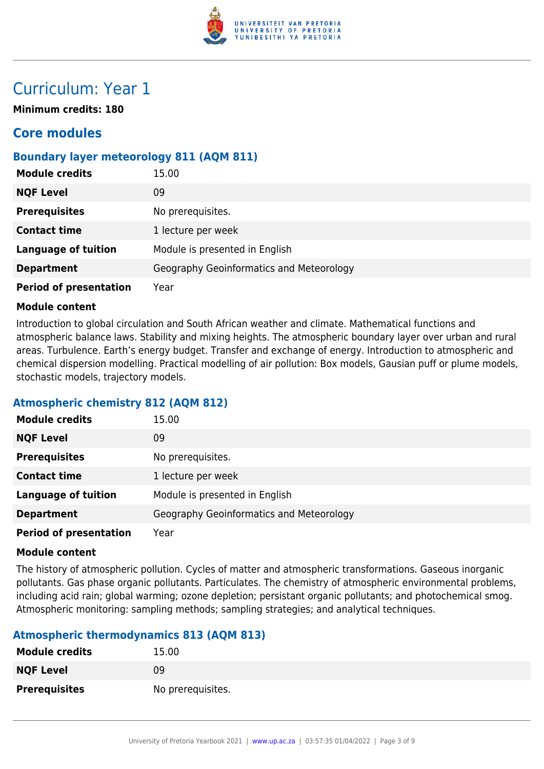

# Curriculum: Year 1

**Minimum credits: 180**

# **Core modules**

# **Boundary layer meteorology 811 (AQM 811)**

| <b>Module credits</b>         | 15.00                                    |
|-------------------------------|------------------------------------------|
| <b>NQF Level</b>              | 09                                       |
| <b>Prerequisites</b>          | No prerequisites.                        |
| <b>Contact time</b>           | 1 lecture per week                       |
| <b>Language of tuition</b>    | Module is presented in English           |
| <b>Department</b>             | Geography Geoinformatics and Meteorology |
| <b>Period of presentation</b> | Year                                     |

#### **Module content**

Introduction to global circulation and South African weather and climate. Mathematical functions and atmospheric balance laws. Stability and mixing heights. The atmospheric boundary layer over urban and rural areas. Turbulence. Earth's energy budget. Transfer and exchange of energy. Introduction to atmospheric and chemical dispersion modelling. Practical modelling of air pollution: Box models, Gausian puff or plume models, stochastic models, trajectory models.

### **Atmospheric chemistry 812 (AQM 812)**

| <b>Module credits</b>         | 15.00                                    |
|-------------------------------|------------------------------------------|
| <b>NQF Level</b>              | 09                                       |
| <b>Prerequisites</b>          | No prerequisites.                        |
| <b>Contact time</b>           | 1 lecture per week                       |
| <b>Language of tuition</b>    | Module is presented in English           |
| <b>Department</b>             | Geography Geoinformatics and Meteorology |
| <b>Period of presentation</b> | Year                                     |

#### **Module content**

The history of atmospheric pollution. Cycles of matter and atmospheric transformations. Gaseous inorganic pollutants. Gas phase organic pollutants. Particulates. The chemistry of atmospheric environmental problems, including acid rain; global warming; ozone depletion; persistant organic pollutants; and photochemical smog. Atmospheric monitoring: sampling methods; sampling strategies; and analytical techniques.

### **Atmospheric thermodynamics 813 (AQM 813)**

| <b>Module credits</b> | 15.00             |
|-----------------------|-------------------|
| <b>NQF Level</b>      | 09                |
| <b>Prerequisites</b>  | No prerequisites. |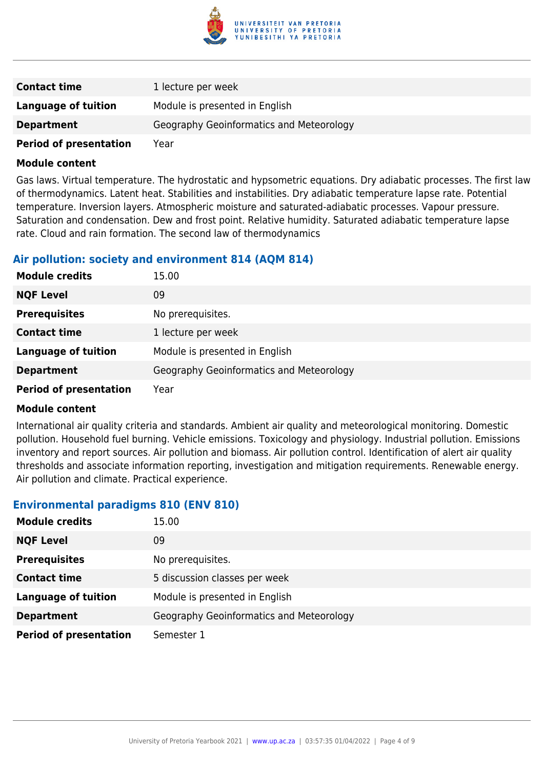

| <b>Contact time</b>           | 1 lecture per week                       |
|-------------------------------|------------------------------------------|
| Language of tuition           | Module is presented in English           |
| <b>Department</b>             | Geography Geoinformatics and Meteorology |
| <b>Period of presentation</b> | Year                                     |

Gas laws. Virtual temperature. The hydrostatic and hypsometric equations. Dry adiabatic processes. The first law of thermodynamics. Latent heat. Stabilities and instabilities. Dry adiabatic temperature lapse rate. Potential temperature. Inversion layers. Atmospheric moisture and saturated-adiabatic processes. Vapour pressure. Saturation and condensation. Dew and frost point. Relative humidity. Saturated adiabatic temperature lapse rate. Cloud and rain formation. The second law of thermodynamics

#### **Air pollution: society and environment 814 (AQM 814)**

| <b>Module credits</b>         | 15.00                                    |
|-------------------------------|------------------------------------------|
| <b>NQF Level</b>              | 09                                       |
| <b>Prerequisites</b>          | No prerequisites.                        |
| <b>Contact time</b>           | 1 lecture per week                       |
| <b>Language of tuition</b>    | Module is presented in English           |
| <b>Department</b>             | Geography Geoinformatics and Meteorology |
| <b>Period of presentation</b> | Year                                     |

#### **Module content**

International air quality criteria and standards. Ambient air quality and meteorological monitoring. Domestic pollution. Household fuel burning. Vehicle emissions. Toxicology and physiology. Industrial pollution. Emissions inventory and report sources. Air pollution and biomass. Air pollution control. Identification of alert air quality thresholds and associate information reporting, investigation and mitigation requirements. Renewable energy. Air pollution and climate. Practical experience.

#### **Environmental paradigms 810 (ENV 810)**

| <b>Module credits</b>         | 15.00                                    |
|-------------------------------|------------------------------------------|
| <b>NQF Level</b>              | 09                                       |
| <b>Prerequisites</b>          | No prerequisites.                        |
| <b>Contact time</b>           | 5 discussion classes per week            |
| <b>Language of tuition</b>    | Module is presented in English           |
| <b>Department</b>             | Geography Geoinformatics and Meteorology |
| <b>Period of presentation</b> | Semester 1                               |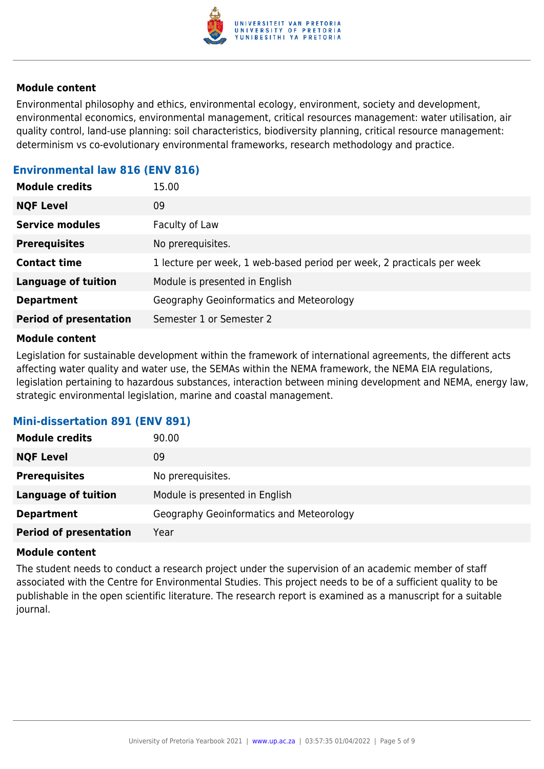

Environmental philosophy and ethics, environmental ecology, environment, society and development, environmental economics, environmental management, critical resources management: water utilisation, air quality control, land-use planning: soil characteristics, biodiversity planning, critical resource management: determinism vs co-evolutionary environmental frameworks, research methodology and practice.

# **Environmental law 816 (ENV 816)**

| 09<br><b>NQF Level</b>                                                                        |
|-----------------------------------------------------------------------------------------------|
| <b>Service modules</b><br>Faculty of Law                                                      |
| No prerequisites.<br><b>Prerequisites</b>                                                     |
| 1 lecture per week, 1 web-based period per week, 2 practicals per week<br><b>Contact time</b> |
| <b>Language of tuition</b><br>Module is presented in English                                  |
| Geography Geoinformatics and Meteorology<br><b>Department</b>                                 |
| <b>Period of presentation</b><br>Semester 1 or Semester 2                                     |

#### **Module content**

Legislation for sustainable development within the framework of international agreements, the different acts affecting water quality and water use, the SEMAs within the NEMA framework, the NEMA EIA regulations, legislation pertaining to hazardous substances, interaction between mining development and NEMA, energy law, strategic environmental legislation, marine and coastal management.

### **Mini-dissertation 891 (ENV 891)**

| <b>Module credits</b>         | 90.00                                    |
|-------------------------------|------------------------------------------|
| <b>NQF Level</b>              | 09                                       |
| <b>Prerequisites</b>          | No prerequisites.                        |
| <b>Language of tuition</b>    | Module is presented in English           |
| <b>Department</b>             | Geography Geoinformatics and Meteorology |
| <b>Period of presentation</b> | Year                                     |

#### **Module content**

The student needs to conduct a research project under the supervision of an academic member of staff associated with the Centre for Environmental Studies. This project needs to be of a sufficient quality to be publishable in the open scientific literature. The research report is examined as a manuscript for a suitable journal.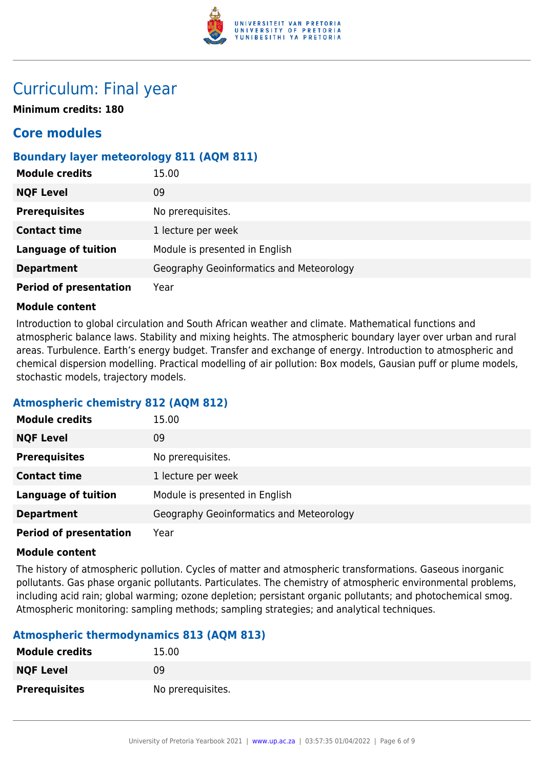

# Curriculum: Final year

**Minimum credits: 180**

# **Core modules**

# **Boundary layer meteorology 811 (AQM 811)**

| <b>Module credits</b>         | 15.00                                    |
|-------------------------------|------------------------------------------|
| <b>NQF Level</b>              | 09                                       |
| <b>Prerequisites</b>          | No prerequisites.                        |
| <b>Contact time</b>           | 1 lecture per week                       |
| <b>Language of tuition</b>    | Module is presented in English           |
| <b>Department</b>             | Geography Geoinformatics and Meteorology |
| <b>Period of presentation</b> | Year                                     |

#### **Module content**

Introduction to global circulation and South African weather and climate. Mathematical functions and atmospheric balance laws. Stability and mixing heights. The atmospheric boundary layer over urban and rural areas. Turbulence. Earth's energy budget. Transfer and exchange of energy. Introduction to atmospheric and chemical dispersion modelling. Practical modelling of air pollution: Box models, Gausian puff or plume models, stochastic models, trajectory models.

### **Atmospheric chemistry 812 (AQM 812)**

| <b>Module credits</b>         | 15.00                                    |
|-------------------------------|------------------------------------------|
| <b>NQF Level</b>              | 09                                       |
| <b>Prerequisites</b>          | No prerequisites.                        |
| <b>Contact time</b>           | 1 lecture per week                       |
| <b>Language of tuition</b>    | Module is presented in English           |
| <b>Department</b>             | Geography Geoinformatics and Meteorology |
| <b>Period of presentation</b> | Year                                     |

#### **Module content**

The history of atmospheric pollution. Cycles of matter and atmospheric transformations. Gaseous inorganic pollutants. Gas phase organic pollutants. Particulates. The chemistry of atmospheric environmental problems, including acid rain; global warming; ozone depletion; persistant organic pollutants; and photochemical smog. Atmospheric monitoring: sampling methods; sampling strategies; and analytical techniques.

### **Atmospheric thermodynamics 813 (AQM 813)**

| <b>Module credits</b> | 15.00             |
|-----------------------|-------------------|
| <b>NQF Level</b>      | 09                |
| <b>Prerequisites</b>  | No prerequisites. |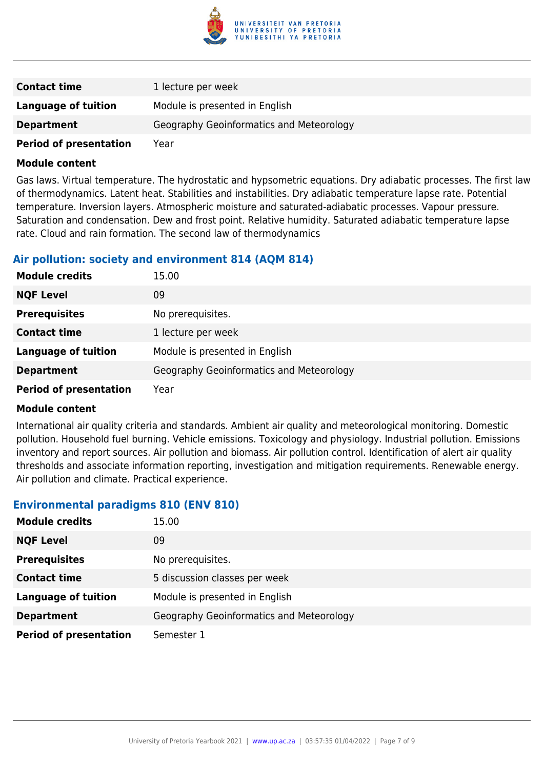

| <b>Contact time</b>           | 1 lecture per week                       |
|-------------------------------|------------------------------------------|
| Language of tuition           | Module is presented in English           |
| <b>Department</b>             | Geography Geoinformatics and Meteorology |
| <b>Period of presentation</b> | Year                                     |

Gas laws. Virtual temperature. The hydrostatic and hypsometric equations. Dry adiabatic processes. The first law of thermodynamics. Latent heat. Stabilities and instabilities. Dry adiabatic temperature lapse rate. Potential temperature. Inversion layers. Atmospheric moisture and saturated-adiabatic processes. Vapour pressure. Saturation and condensation. Dew and frost point. Relative humidity. Saturated adiabatic temperature lapse rate. Cloud and rain formation. The second law of thermodynamics

#### **Air pollution: society and environment 814 (AQM 814)**

| <b>Module credits</b>         | 15.00                                    |
|-------------------------------|------------------------------------------|
| <b>NQF Level</b>              | 09                                       |
| <b>Prerequisites</b>          | No prerequisites.                        |
| <b>Contact time</b>           | 1 lecture per week                       |
| <b>Language of tuition</b>    | Module is presented in English           |
| <b>Department</b>             | Geography Geoinformatics and Meteorology |
| <b>Period of presentation</b> | Year                                     |

#### **Module content**

International air quality criteria and standards. Ambient air quality and meteorological monitoring. Domestic pollution. Household fuel burning. Vehicle emissions. Toxicology and physiology. Industrial pollution. Emissions inventory and report sources. Air pollution and biomass. Air pollution control. Identification of alert air quality thresholds and associate information reporting, investigation and mitigation requirements. Renewable energy. Air pollution and climate. Practical experience.

#### **Environmental paradigms 810 (ENV 810)**

| <b>Module credits</b>         | 15.00                                    |
|-------------------------------|------------------------------------------|
| <b>NQF Level</b>              | 09                                       |
| <b>Prerequisites</b>          | No prerequisites.                        |
| <b>Contact time</b>           | 5 discussion classes per week            |
| <b>Language of tuition</b>    | Module is presented in English           |
| <b>Department</b>             | Geography Geoinformatics and Meteorology |
| <b>Period of presentation</b> | Semester 1                               |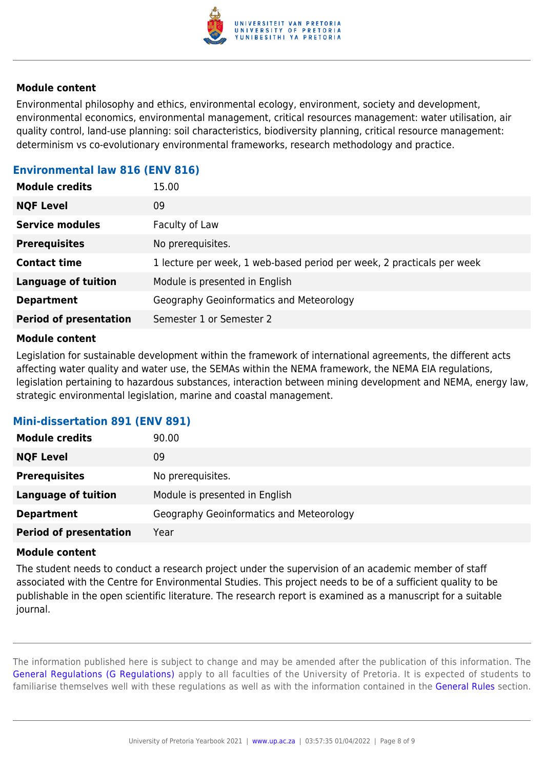

Environmental philosophy and ethics, environmental ecology, environment, society and development, environmental economics, environmental management, critical resources management: water utilisation, air quality control, land-use planning: soil characteristics, biodiversity planning, critical resource management: determinism vs co-evolutionary environmental frameworks, research methodology and practice.

# **Environmental law 816 (ENV 816)**

| <b>Module credits</b>         | 15.00                                                                  |
|-------------------------------|------------------------------------------------------------------------|
| <b>NQF Level</b>              | 09                                                                     |
| <b>Service modules</b>        | Faculty of Law                                                         |
| <b>Prerequisites</b>          | No prerequisites.                                                      |
| <b>Contact time</b>           | 1 lecture per week, 1 web-based period per week, 2 practicals per week |
| <b>Language of tuition</b>    | Module is presented in English                                         |
| <b>Department</b>             | Geography Geoinformatics and Meteorology                               |
| <b>Period of presentation</b> | Semester 1 or Semester 2                                               |

#### **Module content**

Legislation for sustainable development within the framework of international agreements, the different acts affecting water quality and water use, the SEMAs within the NEMA framework, the NEMA EIA regulations, legislation pertaining to hazardous substances, interaction between mining development and NEMA, energy law, strategic environmental legislation, marine and coastal management.

### **Mini-dissertation 891 (ENV 891)**

| <b>Module credits</b>         | 90.00                                    |
|-------------------------------|------------------------------------------|
| <b>NQF Level</b>              | 09                                       |
| <b>Prerequisites</b>          | No prerequisites.                        |
| <b>Language of tuition</b>    | Module is presented in English           |
| <b>Department</b>             | Geography Geoinformatics and Meteorology |
| <b>Period of presentation</b> | Year                                     |

#### **Module content**

The student needs to conduct a research project under the supervision of an academic member of staff associated with the Centre for Environmental Studies. This project needs to be of a sufficient quality to be publishable in the open scientific literature. The research report is examined as a manuscript for a suitable journal.

The information published here is subject to change and may be amended after the publication of this information. The [General Regulations \(G Regulations\)](https://www.up.ac.za/yearbooks/2021/rules/view/REG) apply to all faculties of the University of Pretoria. It is expected of students to familiarise themselves well with these regulations as well as with the information contained in the [General Rules](https://www.up.ac.za/yearbooks/2021/rules/view/RUL) section.